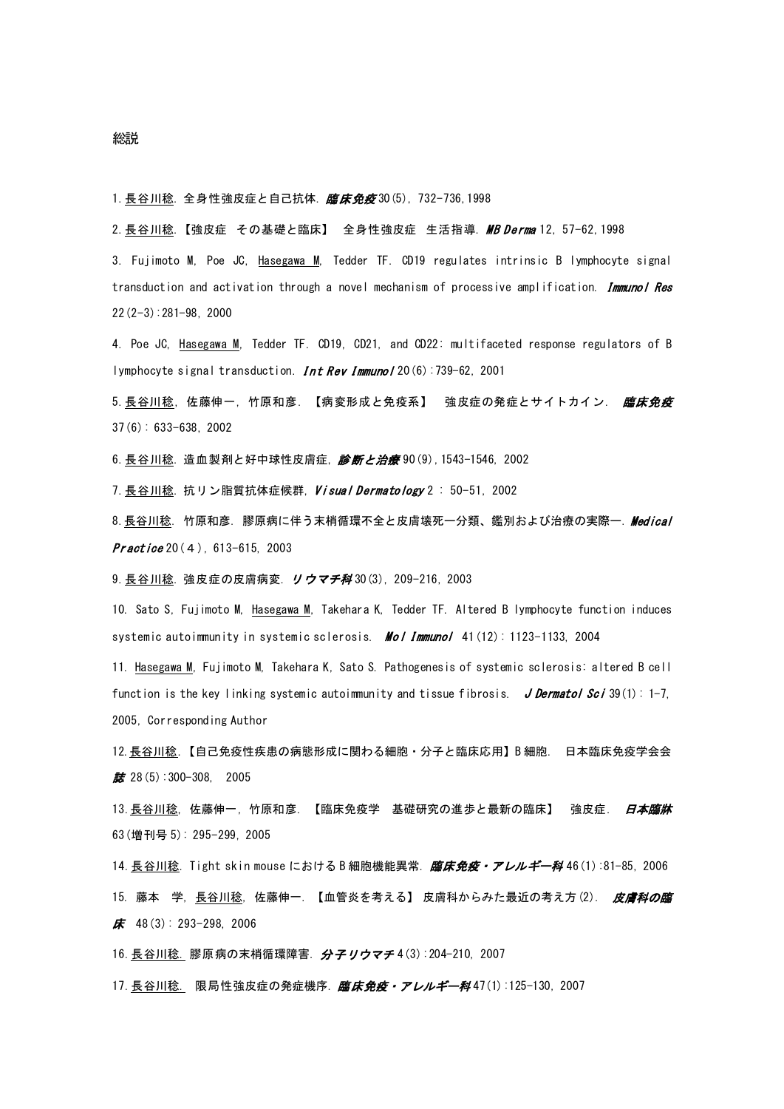## 総説

1. 長谷川稔. 全身性強皮症と自己抗体. 臨床免疫 30 (5), 732-736, 1998

2.長谷川稔.【強皮症 その基礎と臨床】 全身性強皮症 生活指導. MB Derma 12, 57-62, 1998

3. Fujimoto M, Poe JC, Hasegawa M, Tedder TF. CD19 regulates intrinsic B lymphocyte signal transduction and activation through a novel mechanism of processive amplification. Immunol Res 22(2-3):281-98, 2000

4. Poe JC, Hasegawa M, Tedder TF. CD19, CD21, and CD22: multifaceted response regulators of B lymphocyte signal transduction. **Int Rev Immuno**  $120(6)$ : 739-62, 2001

5.長谷川稔, 佐藤伸一, 竹原和彦. 【病変形成と免疫系】 強皮症の発症とサイトカイン. *臨床免疫* 37(6): 633-638, 2002

6. 長谷川稔. 造血製剤と好中球性皮膚症, 診断と治療 90(9), 1543-1546, 2002

7. 長谷川稔. 抗リン脂質抗体症候群, Visual Dermatology 2: 50-51, 2002

8.長谷川稔. 竹原和彦. 膠原病に伴う末梢循環不全と皮膚壊死一分類、鑑別および治療の実際ー. Medical Practice 20(4), 613-615, 2003

9. 長谷川稔. 強皮症の皮膚病変. リウマチ科 30(3), 209-216, 2003

10. Sato S, Fujimoto M, Hasegawa M, Takehara K, Tedder TF. Altered B lymphocyte function induces systemic autoimmunity in systemic sclerosis. **Mol Immunol** 41(12): 1123-1133, 2004

11. Hasegawa M, Fujimoto M, Takehara K, Sato S. Pathogenesis of systemic sclerosis: altered B cell function is the key linking systemic autoimmunity and tissue fibrosis. J Dermatol Sci 39(1): 1-7, 2005, Corresponding Author

12.長谷川稔.【自己免疫性疾患の病態形成に関わる細胞・分子と臨床応用】B 細胞. [日本臨床免疫学会会](http://www.jamas.or.jp/user/database/Search/detail/scode/J01882) ■ 28(5):300-308, 2005

13. 長谷川稔, 佐藤伸一, 竹原和彦. 【臨床免疫学 基礎研究の進歩と最新の臨床】 強皮症. *日本臨牀* 63(増刊号 5): 295-299, 2005

14. <u>長谷川稔</u>. Tight skin mouse における B 細胞機能異常. *[臨床免疫・アレルギー科](http://www.jamas.or.jp/user/database/Search/detail/scode/J04804)* 46(1):81-85, 2006 15. 藤本 学, 長谷川稔, 佐藤伸一. 【血管炎を考える】 皮膚科からみた最近の考え方(2). 皮膚科の臨  $\pmb{\kappa}$  48(3): 293-298, 2006

16. 長谷川稔. 膠原病の末梢循環障害. [分子リウマチ](http://www.jamas.or.jp/user/database/Search/detail/scode/J04152)4(3):204-210, 2007

17. 長谷川稔. 限局性強皮症の発症機序. 臨床免疫・アレルギー科 47(1):125-130, 2007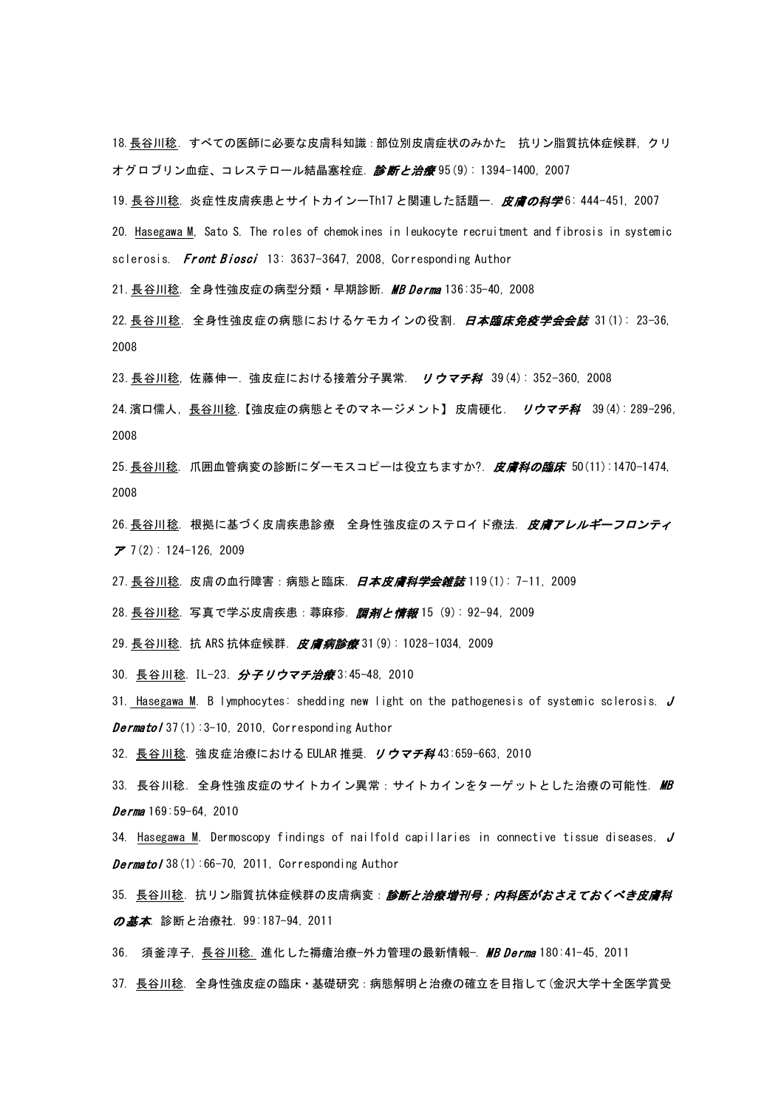18.長谷川稔. すべての医師に必要な皮膚科知識:部位別皮膚症状のみかた 抗リン脂質抗体症候群, クリ オグロブリン血症、コレステロール結晶塞栓症. [診断と治療](http://www.jamas.or.jp/user/database/Search/detail/scode/J00697) 95(9): 1394-1400, 2007

19. 長谷川稔. 炎症性皮膚疾患とサイトカインーTh17 と関連した話題ー. 皮膚の科学6: 444-451, 2007

20. Hasegawa M, Sato S. The roles of chemokines in leukocyte recruitment and fibrosis in systemic sclerosis. Front Biosci 13: 3637-3647, 2008, Corresponding Author

21. 長谷川稔. 全身性強皮症の病型分類・早期診断. MB Derma 136:35-40, 2008

22. 長谷川稔. 全身性強皮症の病態におけるケモカインの役割. *日本臨床免疫学会会誌* 31(1): 23-36, 2008

23. 長谷川稔, 佐藤伸一. 強皮症における接着分子異常. リウマチ科 39(4): 352-360, 2008

24. 濱口儒人, 長谷川稔. 【強皮症の病態とそのマネージメント】 皮膚硬化. リウマチ科 39 (4): 289-296, 2008

25. 長谷川稔. 爪囲血管病変の診断にダーモスコピーは役立ちますか?. 皮膚科の臨床 50(11):1470-1474, 2008

26.長谷川稔. 根拠に基づく皮膚疾患診療 全身性強皮症のステロイド療法. 皮膚アレルギーフロンティ ア 7(2): 124-126, 2009

27. <u>長谷川稔</u>. 皮膚の血行障害:病態と臨床. *日本皮膚科学会雑誌* 119(1): 7−11, 2009

28. 長谷川稔. 写真で学ぶ皮膚疾患: 蕁麻疹. 調剤と情報 15 (9): 92-94, 2009

29. 長谷川稔. 抗 ARS 抗体症候群. 皮膚病診療 31(9): 1028-1034, 2009

30. 長谷川稔. IL-23. 分子リウマチ治療 3:45-48, 2010

31. Hasegawa M. B lymphocytes: shedding new light on the pathogenesis of systemic sclerosis. J *Dermatol* 37(1):3-10, 2010, Corresponding Author

32. 長谷川稔. 強皮症治療における EULAR 推奨. リウマチ科43:659-663, 2010

33. 長谷川稔. 全身性強皮症のサイトカイン異常:サイトカインをターゲットとした治療の可能性. MB  $Derma 169:59-64, 2010$ 

34. Hasegawa M. Dermoscopy findings of nailfold capillaries in connective tissue diseases. J **Dermatol** 38(1):66-70, 2011, Corresponding Author

35. 長谷川稔. 抗リン脂質抗体症候群の皮膚病変: 診断と治療増刊号;内科医がおさえておくべき皮膚科 の基本. 診断と治療社. 99:187-94, 2011

36. 須釜淳子, 長谷川稔. 進化した褥瘡治療─外力管理の最新情報─. MB Derma 180:41-45, 2011

37. 長谷川稔. 全身性強皮症の臨床・基礎研究:病態解明と治療の確立を目指して(金沢大学十全医学賞受